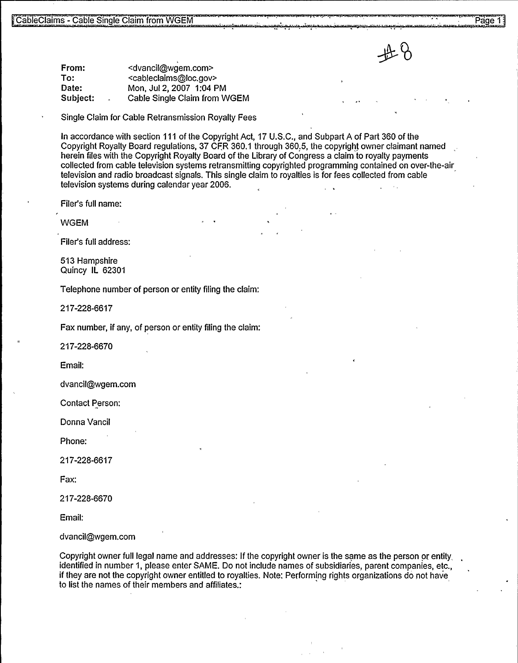From: To: Date: Subject: <dvancil@wgem.com> <cableclaims@loc.gov> Mon, Jul 2,2007 1:04 PM Cable Single Claim from WGEM

Single Claim for Cable Retransmission Royalty Fees

In accordance with section 111 of the Copyright Act, 17 U.S.C., and Subpart A of Part 360 of the Copyright Royalty Board regulations, 37 CFR 360.1 through 360.5, the copyright owner claimant named herein files with the Copyright Royalty Board of the Library of Congress a claim to royalty payments collected from cable television systems retransmitting copyrighted programming contained on over-the-air television and radio broadcast signals. This single claim to royalties is for fees collected from cable television systems during calendar year 2006.

Filer's full name:

WGEM

Filer's full address:

513 Hampshire Quincy IL 62301

Telephone number of person or entity filing the claim:

217-228-6617

Fax number, if any, of person or entity filing the claim:

217-228-6670

Email:

dvancil@wgem.corn

Contact Person:

Donna Vancil

Phone:

217-228-6617

Fax:

217-228-6670

Email:

dvancil@wgem.com

Copyright owner full legal name and addresses: If the copyright owner is the same as the person or entity, identified in number 1, please enter SAME. Do not include names of subsidiaries, parent companies, etc., if they are not the copyright owner entitled to royalties. Note: Performing rights organizations do not have to list the names of their members and affiliates.: